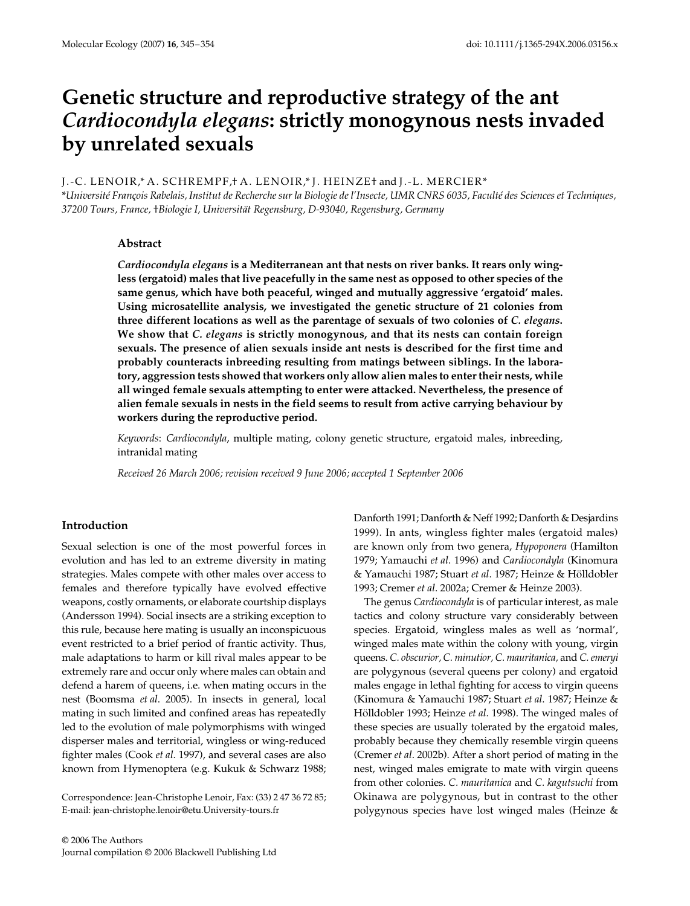# Genetic structure and reproductive strategy of the ant *Cardiocondyla elegans***: strictly monogynous nests invaded by unrelated sexuals**

## J.-C. LENOIR,\* A. SCHREMPF,† A. LENOIR,\* J. HEINZE† and J.-L. MERCIER\*

\**Université François Rabelais, Institut de Recherche sur la Biologie de l'Insecte, UMR CNRS 6035, Faculté des Sciences et Techniques, 37200 Tours, France,* †*Biologie I, Universität Regensburg, D-93040, Regensburg, Germany*

## **Abstract**

*Cardiocondyla elegans* **is a Mediterranean ant that nests on river banks. It rears only wingless (ergatoid) males that live peacefully in the same nest as opposed to other species of the same genus, which have both peaceful, winged and mutually aggressive 'ergatoid' males. Using microsatellite analysis, we investigated the genetic structure of 21 colonies from three different locations as well as the parentage of sexuals of two colonies of** *C. elegans***. We show that** *C. elegans* **is strictly monogynous, and that its nests can contain foreign sexuals. The presence of alien sexuals inside ant nests is described for the first time and probably counteracts inbreeding resulting from matings between siblings. In the laboratory, aggression tests showed that workers only allow alien males to enter their nests, while all winged female sexuals attempting to enter were attacked. Nevertheless, the presence of alien female sexuals in nests in the field seems to result from active carrying behaviour by workers during the reproductive period.**

*Keywords*: *Cardiocondyla*, multiple mating, colony genetic structure, ergatoid males, inbreeding, intranidal mating

*Received 26 March 2006; revision received 9 June 2006; accepted 1 September 2006*

## **Introduction**

Sexual selection is one of the most powerful forces in evolution and has led to an extreme diversity in mating strategies. Males compete with other males over access to females and therefore typically have evolved effective weapons, costly ornaments, or elaborate courtship displays (Andersson 1994). Social insects are a striking exception to this rule, because here mating is usually an inconspicuous event restricted to a brief period of frantic activity. Thus, male adaptations to harm or kill rival males appear to be extremely rare and occur only where males can obtain and defend a harem of queens, i.e. when mating occurs in the nest (Boomsma *et al*. 2005). In insects in general, local mating in such limited and confined areas has repeatedly led to the evolution of male polymorphisms with winged disperser males and territorial, wingless or wing-reduced fighter males (Cook *et al*. 1997), and several cases are also known from Hymenoptera (e.g. Kukuk & Schwarz 1988;

Correspondence: Jean-Christophe Lenoir, Fax: (33) 2 47 36 72 85; E-mail: jean-christophe.lenoir@etu.University-tours.fr

© 2006 The Authors Journal compilation © 2006 Blackwell Publishing Ltd Danforth 1991; Danforth & Neff 1992; Danforth & Desjardins 1999). In ants, wingless fighter males (ergatoid males) are known only from two genera, *Hypoponera* (Hamilton 1979; Yamauchi *et al*. 1996) and *Cardiocondyla* (Kinomura & Yamauchi 1987; Stuart *et al*. 1987; Heinze & Hölldobler 1993; Cremer *et al*. 2002a; Cremer & Heinze 2003).

The genus *Cardiocondyla* is of particular interest, as male tactics and colony structure vary considerably between species. Ergatoid, wingless males as well as 'normal', winged males mate within the colony with young, virgin queens. *C. obscurior, C. minutior, C. mauritanica,* and *C. emeryi* are polygynous (several queens per colony) and ergatoid males engage in lethal fighting for access to virgin queens (Kinomura & Yamauchi 1987; Stuart *et al*. 1987; Heinze & Hölldobler 1993; Heinze *et al*. 1998). The winged males of these species are usually tolerated by the ergatoid males, probably because they chemically resemble virgin queens (Cremer *et al*. 2002b). After a short period of mating in the nest, winged males emigrate to mate with virgin queens from other colonies. *C. mauritanica* and *C. kagutsuchi* from Okinawa are polygynous, but in contrast to the other polygynous species have lost winged males (Heinze &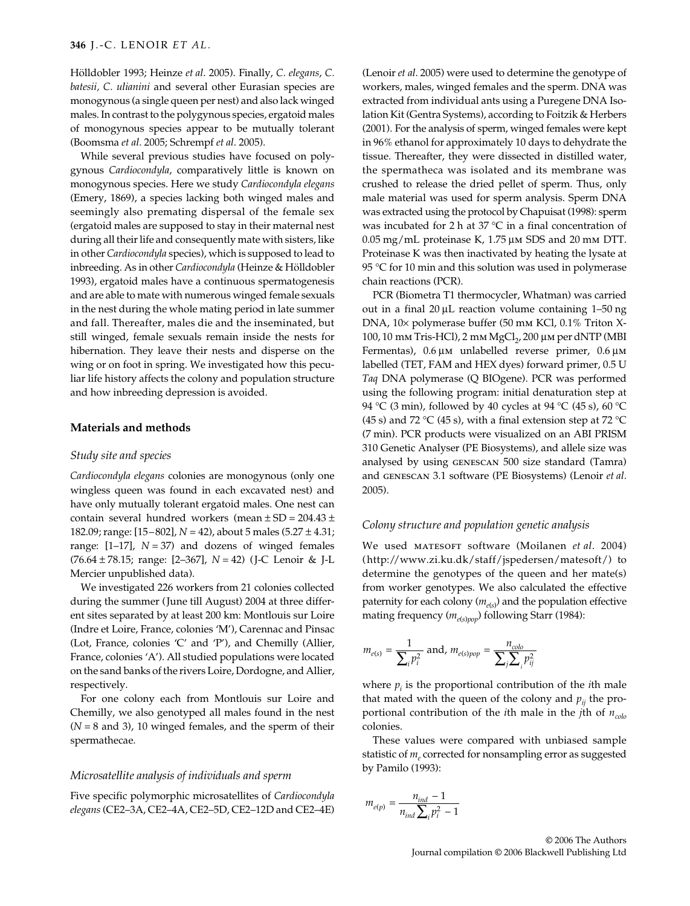Hölldobler 1993; Heinze *et al*. 2005). Finally, *C. elegans*, *C. batesii, C. ulianini* and several other Eurasian species are monogynous (a single queen per nest) and also lack winged males. In contrast to the polygynous species, ergatoid males of monogynous species appear to be mutually tolerant (Boomsma *et al*. 2005; Schrempf *et al*. 2005).

While several previous studies have focused on polygynous *Cardiocondyla*, comparatively little is known on monogynous species. Here we study *Cardiocondyla elegans* (Emery, 1869), a species lacking both winged males and seemingly also premating dispersal of the female sex (ergatoid males are supposed to stay in their maternal nest during all their life and consequently mate with sisters, like in other *Cardiocondyla* species), which is supposed to lead to inbreeding. As in other *Cardiocondyla* (Heinze & Hölldobler 1993), ergatoid males have a continuous spermatogenesis and are able to mate with numerous winged female sexuals in the nest during the whole mating period in late summer and fall. Thereafter, males die and the inseminated, but still winged, female sexuals remain inside the nests for hibernation. They leave their nests and disperse on the wing or on foot in spring. We investigated how this peculiar life history affects the colony and population structure and how inbreeding depression is avoided.

## **Materials and methods**

## *Study site and species*

*Cardiocondyla elegans* colonies are monogynous (only one wingless queen was found in each excavated nest) and have only mutually tolerant ergatoid males. One nest can contain several hundred workers (mean  $\pm$  SD = 204.43  $\pm$ 182.09; range: [15–802], *N* = 42), about 5 males (5.27 ± 4.31; range:  $[1-17]$ ,  $N = 37$ ) and dozens of winged females (76.64 ± 78.15; range: [2–367], *N* = 42) (J-C Lenoir & J-L Mercier unpublished data).

We investigated 226 workers from 21 colonies collected during the summer (June till August) 2004 at three different sites separated by at least 200 km: Montlouis sur Loire (Indre et Loire, France, colonies 'M'), Carennac and Pinsac (Lot, France, colonies 'C' and 'P'), and Chemilly (Allier, France, colonies 'A'). All studied populations were located on the sand banks of the rivers Loire, Dordogne, and Allier, respectively.

For one colony each from Montlouis sur Loire and Chemilly, we also genotyped all males found in the nest (*N* = 8 and 3), 10 winged females, and the sperm of their spermathecae.

#### *Microsatellite analysis of individuals and sperm*

Five specific polymorphic microsatellites of *Cardiocondyla elegans*(CE2–3A, CE2–4A, CE2–5D, CE2–12D and CE2–4E)

(Lenoir *et al*. 2005) were used to determine the genotype of workers, males, winged females and the sperm. DNA was extracted from individual ants using a Puregene DNA Isolation Kit (Gentra Systems), according to Foitzik & Herbers (2001). For the analysis of sperm, winged females were kept in 96% ethanol for approximately 10 days to dehydrate the tissue. Thereafter, they were dissected in distilled water, the spermatheca was isolated and its membrane was crushed to release the dried pellet of sperm. Thus, only male material was used for sperm analysis. Sperm DNA was extracted using the protocol by Chapuisat (1998): sperm was incubated for 2 h at 37 °C in a final concentration of 0.05 mg/mL proteinase K, 1.75 µm SDS and 20 mm DTT. Proteinase K was then inactivated by heating the lysate at 95 °C for 10 min and this solution was used in polymerase chain reactions (PCR).

PCR (Biometra T1 thermocycler, Whatman) was carried out in a final 20 µL reaction volume containing 1–50 ng DNA, 10× polymerase buffer (50 mm KCl, 0.1% Triton X-100, 10 mm Tris-HCl), 2 mm MgCl<sub>2</sub>, 200 μm per dNTP (MBI Fermentas), 0.6 µm unlabelled reverse primer, 0.6 µm labelled (TET, FAM and HEX dyes) forward primer, 0.5 U *Taq* DNA polymerase (Q BIOgene). PCR was performed using the following program: initial denaturation step at 94 °C (3 min), followed by 40 cycles at 94 °C (45 s), 60 °C (45 s) and 72 °C (45 s), with a final extension step at 72 °C (7 min). PCR products were visualized on an ABI PRISM 310 Genetic Analyser (PE Biosystems), and allele size was analysed by using genescan 500 size standard (Tamra) and genescan 3.1 software (PE Biosystems) (Lenoir *et al*. 2005).

#### *Colony structure and population genetic analysis*

We used matesoft software (Moilanen *et al*. 2004) (http://www.zi.ku.dk/staff/jspedersen/matesoft/) to determine the genotypes of the queen and her mate(s) from worker genotypes. We also calculated the effective paternity for each colony (*me*(*s*) ) and the population effective mating frequency ( $m_{e(s)pop}$ ) following Starr (1984):

$$
m_{e(s)} = \frac{1}{\sum_{i} p_i^2}
$$
 and, 
$$
m_{e(s)pop} = \frac{n_{colo}}{\sum_{j} \sum_{i} p_{ij}^2}
$$

where  $p_i$  is the proportional contribution of the *i*th male that mated with the queen of the colony and  $p_{ii}$  the proportional contribution of the *i*th male in the *j*th of  $n_{\text{color}}$ colonies.

These values were compared with unbiased sample statistic of  $m_e$  corrected for nonsampling error as suggested by Pamilo (1993):

$$
m_{e(p)} = \frac{n_{ind} - 1}{n_{ind} \sum_{i} p_{i}^{2} - 1}
$$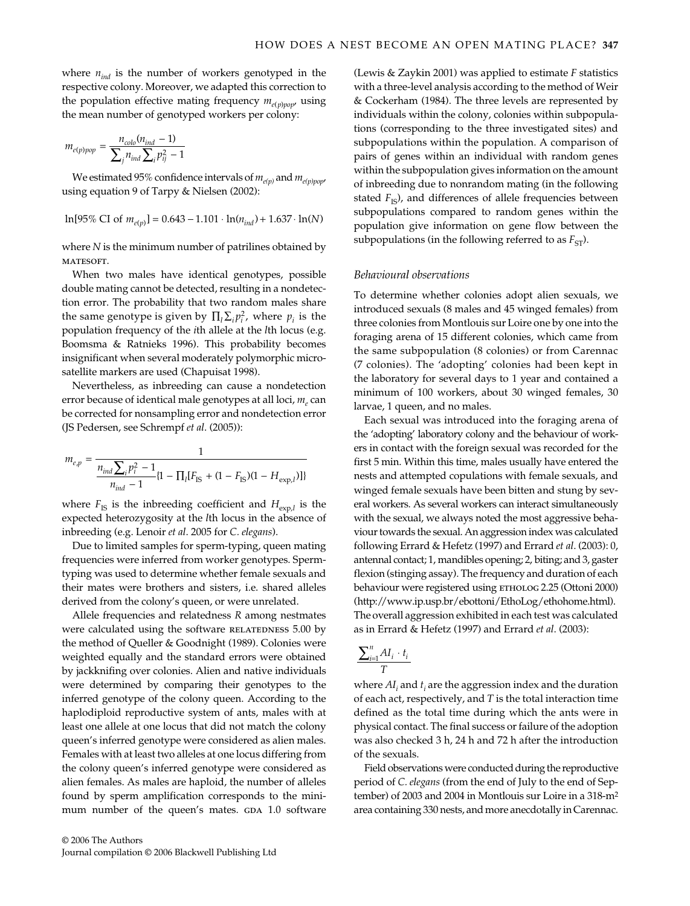where  $n_{ind}$  is the number of workers genotyped in the respective colony. Moreover, we adapted this correction to the population effective mating frequency  $m_{e(p)pop}$ , using the mean number of genotyped workers per colony:

$$
m_{e(p)pop} = \frac{n_{colo}(n_{ind} - 1)}{\sum_j n_{ind} \sum_i p_{ij}^2 - 1}
$$

We estimated 95% confidence intervals of  $m_{e(p)}$  and  $m_{e(p)pop}$ , using equation 9 of Tarpy & Nielsen (2002):

$$
\ln[95\% \text{ CI of } m_{e(p)}] = 0.643 - 1.101 \cdot \ln(n_{ind}) + 1.637 \cdot \ln(N)
$$

where *N* is the minimum number of patrilines obtained by MATESOFT.

When two males have identical genotypes, possible double mating cannot be detected, resulting in a nondetection error. The probability that two random males share the same genotype is given by  $\prod_l \sum_i p_i^2$ , where  $p_i$  is the population frequency of the *i*th allele at the *l*th locus (e.g. Boomsma & Ratnieks 1996). This probability becomes insignificant when several moderately polymorphic microsatellite markers are used (Chapuisat 1998).

Nevertheless, as inbreeding can cause a nondetection error because of identical male genotypes at all loci,  $m_e$  can be corrected for nonsampling error and nondetection error (JS Pedersen, see Schrempf *et al*. (2005)):

$$
m_{e,p} = \frac{1}{\frac{n_{ind} \sum_{i} p_{i}^{2} - 1}{n_{ind} - 1} \{1 - \prod_{l} [F_{IS} + (1 - F_{IS})(1 - H_{exp,l})]\}}
$$

where  $F_{\text{IS}}$  is the inbreeding coefficient and  $H_{\text{exp},l}$  is the expected heterozygosity at the *l*th locus in the absence of inbreeding (e.g. Lenoir *et al*. 2005 for *C. elegans*).

Due to limited samples for sperm-typing, queen mating frequencies were inferred from worker genotypes. Spermtyping was used to determine whether female sexuals and their mates were brothers and sisters, i.e. shared alleles derived from the colony's queen, or were unrelated.

Allele frequencies and relatedness *R* among nestmates were calculated using the software RELATEDNESS 5.00 by the method of Queller & Goodnight (1989). Colonies were weighted equally and the standard errors were obtained by jackknifing over colonies. Alien and native individuals were determined by comparing their genotypes to the inferred genotype of the colony queen. According to the haplodiploid reproductive system of ants, males with at least one allele at one locus that did not match the colony queen's inferred genotype were considered as alien males. Females with at least two alleles at one locus differing from the colony queen's inferred genotype were considered as alien females. As males are haploid, the number of alleles found by sperm amplification corresponds to the minimum number of the queen's mates. GDA 1.0 software

© 2006 The Authors Journal compilation © 2006 Blackwell Publishing Ltd (Lewis & Zaykin 2001) was applied to estimate *F* statistics with a three-level analysis according to the method of Weir & Cockerham (1984). The three levels are represented by individuals within the colony, colonies within subpopulations (corresponding to the three investigated sites) and subpopulations within the population. A comparison of pairs of genes within an individual with random genes within the subpopulation gives information on the amount of inbreeding due to nonrandom mating (in the following stated  $F_{\text{IS}}$ ), and differences of allele frequencies between subpopulations compared to random genes within the population give information on gene flow between the subpopulations (in the following referred to as  $F_{ST}$ ).

#### *Behavioural observations*

To determine whether colonies adopt alien sexuals, we introduced sexuals (8 males and 45 winged females) from three colonies from Montlouis sur Loire one by one into the foraging arena of 15 different colonies, which came from the same subpopulation (8 colonies) or from Carennac (7 colonies). The 'adopting' colonies had been kept in the laboratory for several days to 1 year and contained a minimum of 100 workers, about 30 winged females, 30 larvae, 1 queen, and no males.

Each sexual was introduced into the foraging arena of the 'adopting' laboratory colony and the behaviour of workers in contact with the foreign sexual was recorded for the first 5 min. Within this time, males usually have entered the nests and attempted copulations with female sexuals, and winged female sexuals have been bitten and stung by several workers. As several workers can interact simultaneously with the sexual, we always noted the most aggressive behaviour towards the sexual. An aggression index was calculated following Errard & Hefetz (1997) and Errard *et al*. (2003): 0, antennal contact; 1, mandibles opening; 2, biting; and 3, gaster flexion (stinging assay). The frequency and duration of each behaviour were registered using ETHOLOG 2.25 (Ottoni 2000) (http://www.ip.usp.br/ebottoni/EthoLog/ethohome.html). The overall aggression exhibited in each test was calculated as in Errard & Hefetz (1997) and Errard *et al*. (2003):

$$
\frac{\sum_{i=1}^{n} AI_i \cdot t_i}{T}
$$

where  $AI_i$  and  $t_i$  are the aggression index and the duration of each act, respectively, and *T* is the total interaction time defined as the total time during which the ants were in physical contact. The final success or failure of the adoption was also checked 3 h, 24 h and 72 h after the introduction of the sexuals.

Field observations were conducted during the reproductive period of *C. elegans* (from the end of July to the end of September) of 2003 and 2004 in Montlouis sur Loire in a 318-m2 area containing 330 nests, and more anecdotally in Carennac.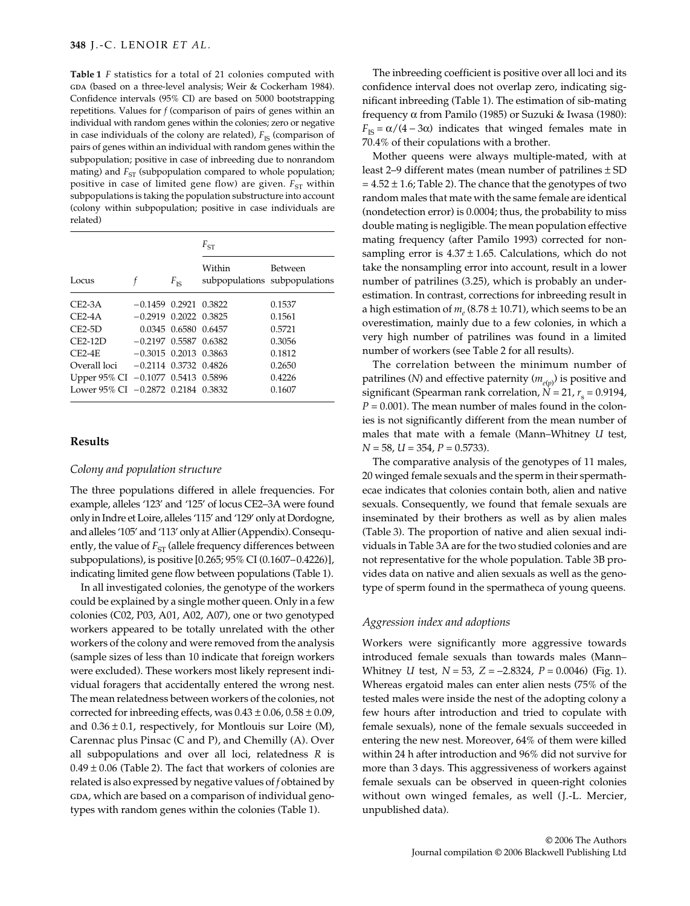**Table 1** *F* statistics for a total of 21 colonies computed with GDA (based on a three-level analysis; Weir & Cockerham 1984). Confidence intervals (95% CI) are based on 5000 bootstrapping repetitions. Values for *f* (comparison of pairs of genes within an individual with random genes within the colonies; zero or negative in case individuals of the colony are related),  $F_{\text{IS}}$  (comparison of pairs of genes within an individual with random genes within the subpopulation; positive in case of inbreeding due to nonrandom mating) and  $F_{ST}$  (subpopulation compared to whole population; positive in case of limited gene flow) are given.  $F_{ST}$  within subpopulations is taking the population substructure into account (colony within subpopulation; positive in case individuals are related)

|                                    |                             |                      | $F_{ST}$ |                                          |  |  |
|------------------------------------|-----------------------------|----------------------|----------|------------------------------------------|--|--|
| Locus                              |                             | $F_{\rm IS}$         | Within   | Between<br>subpopulations subpopulations |  |  |
| $CE2-3A$                           | $-0.1459$ 0.2921 0.3822     |                      |          | 0.1537                                   |  |  |
| $CE2-4A$                           | $-0.2919$ $0.2022$ $0.3825$ |                      |          | 0.1561                                   |  |  |
| $CE2-5D$                           |                             | 0.0345 0.6580 0.6457 |          | 0.5721                                   |  |  |
| $CE2-12D$                          | $-0.2197$ 0.5587 0.6382     |                      |          | 0.3056                                   |  |  |
| $CE2-4E$                           | $-0.3015$ 0.2013 0.3863     |                      |          | 0.1812                                   |  |  |
| Overall loci                       | $-0.2114$ $0.3732$ $0.4826$ |                      |          | 0.2650                                   |  |  |
| Upper 95% CI -0.1077 0.5413 0.5896 |                             |                      |          | 0.4226                                   |  |  |
| Lower 95% CI -0.2872 0.2184 0.3832 |                             |                      |          | 0.1607                                   |  |  |

## **Results**

### *Colony and population structure*

The three populations differed in allele frequencies. For example, alleles '123' and '125' of locus CE2–3A were found only in Indre et Loire, alleles '115' and '129' only at Dordogne, and alleles '105' and '113' only at Allier (Appendix). Consequently, the value of  $F_{ST}$  (allele frequency differences between subpopulations), is positive [0.265; 95% CI (0.1607–0.4226)], indicating limited gene flow between populations (Table 1).

In all investigated colonies*,* the genotype of the workers could be explained by a single mother queen. Only in a few colonies (C02, P03, A01, A02, A07), one or two genotyped workers appeared to be totally unrelated with the other workers of the colony and were removed from the analysis (sample sizes of less than 10 indicate that foreign workers were excluded). These workers most likely represent individual foragers that accidentally entered the wrong nest. The mean relatedness between workers of the colonies, not corrected for inbreeding effects, was  $0.43 \pm 0.06$ ,  $0.58 \pm 0.09$ , and  $0.36 \pm 0.1$ , respectively, for Montlouis sur Loire (M), Carennac plus Pinsac (C and P), and Chemilly (A). Over all subpopulations and over all loci, relatedness *R* is  $0.49 \pm 0.06$  (Table 2). The fact that workers of colonies are related is also expressed by negative values of *f* obtained by GDA, which are based on a comparison of individual genotypes with random genes within the colonies (Table 1).

The inbreeding coefficient is positive over all loci and its confidence interval does not overlap zero, indicating significant inbreeding (Table 1). The estimation of sib-mating frequency α from Pamilo (1985) or Suzuki & Iwasa (1980):  $F_{\text{IS}} = \alpha/(4 - 3\alpha)$  indicates that winged females mate in 70.4% of their copulations with a brother.

Mother queens were always multiple-mated, with at least 2–9 different mates (mean number of patrilines ± SD  $= 4.52 \pm 1.6$ ; Table 2). The chance that the genotypes of two random males that mate with the same female are identical (nondetection error) is 0.0004; thus, the probability to miss double mating is negligible. The mean population effective mating frequency (after Pamilo 1993) corrected for nonsampling error is  $4.37 \pm 1.65$ . Calculations, which do not take the nonsampling error into account, result in a lower number of patrilines (3.25), which is probably an underestimation. In contrast, corrections for inbreeding result in a high estimation of  $m_e$  (8.78  $\pm$  10.71), which seems to be an overestimation, mainly due to a few colonies, in which a very high number of patrilines was found in a limited number of workers (see Table 2 for all results).

The correlation between the minimum number of patrilines (*N*) and effective paternity ( $m_{e(p)}$ ) is positive and  ${\rm significant}$  (Spearman rank correlation,  $N = 21$ ,  $r_{\rm s} = 0.9194$ ,  $P = 0.001$ ). The mean number of males found in the colonies is not significantly different from the mean number of males that mate with a female (Mann–Whitney *U* test, *N* = 58, *U* = 354, *P* = 0.5733).

The comparative analysis of the genotypes of 11 males, 20 winged female sexuals and the sperm in their spermathecae indicates that colonies contain both, alien and native sexuals. Consequently, we found that female sexuals are inseminated by their brothers as well as by alien males (Table 3). The proportion of native and alien sexual individuals in Table 3A are for the two studied colonies and are not representative for the whole population. Table 3B provides data on native and alien sexuals as well as the genotype of sperm found in the spermatheca of young queens.

## *Aggression index and adoptions*

Workers were significantly more aggressive towards introduced female sexuals than towards males (Mann– Whitney *U* test, *N* = 53, *Z* = −2.8324, *P* = 0.0046) (Fig. 1). Whereas ergatoid males can enter alien nests (75% of the tested males were inside the nest of the adopting colony a few hours after introduction and tried to copulate with female sexuals), none of the female sexuals succeeded in entering the new nest. Moreover, 64% of them were killed within 24 h after introduction and 96% did not survive for more than 3 days. This aggressiveness of workers against female sexuals can be observed in queen-right colonies without own winged females, as well (J.-L. Mercier, unpublished data).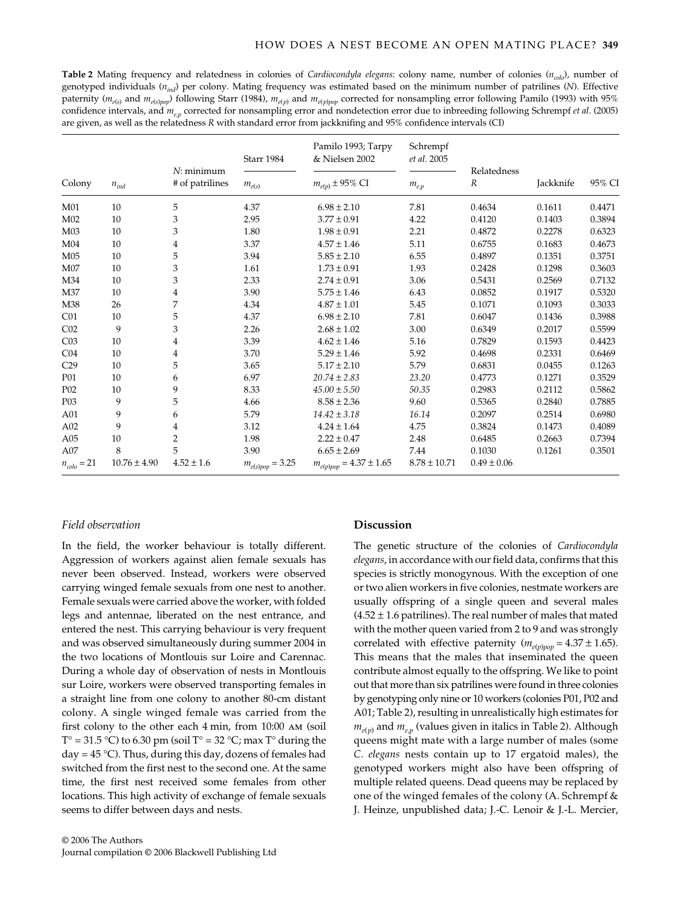**Table 2** Mating frequency and relatedness in colonies of *Cardiocondyla elegans*: colony name, number of colonies (*ncolo*), number of genotyped individuals (*nind*) per colony. Mating frequency was estimated based on the minimum number of patrilines (*N*). Effective paternity ( $m_{e(s)}$  and  $m_{e(s)pop}$ ) following Starr (1984),  $m_{e(p)}$  and  $m_{e(p)pop}$  corrected for nonsampling error following Pamilo (1993) with 95% confidence intervals, and  $m_{e}$ , corrected for nonsampling error and nondetection error due to inbreeding following Schrempf *et al.* (2005) are given, as well as the relatedness *R* with standard error from jackknifing and 95% confidence intervals (CI)

|                  |                  |                                 | Starr 1984           | Pamilo 1993; Tarpy<br>& Nielsen 2002 | Schrempf<br>et al. 2005 |                                 |           |        |
|------------------|------------------|---------------------------------|----------------------|--------------------------------------|-------------------------|---------------------------------|-----------|--------|
| Colony           | $n_{ind}$        | $N:$ minimum<br># of patrilines | $m_{e(s)}$           | $m_{e(p)} \pm 95\%$ CI               | $m_{e,p}$               | Relatedness<br>$\boldsymbol{R}$ | Jackknife | 95% CI |
| M01              | 10               | 5                               | 4.37                 | $6.98 \pm 2.10$                      | 7.81                    | 0.4634                          | 0.1611    | 0.4471 |
| M02              | 10               | 3                               | 2.95                 | $3.77 \pm 0.91$                      | 4.22                    | 0.4120                          | 0.1403    | 0.3894 |
| M <sub>03</sub>  | 10               | 3                               | 1.80                 | $1.98 \pm 0.91$                      | 2.21                    | 0.4872                          | 0.2278    | 0.6323 |
| M <sub>04</sub>  | 10               | $\overline{4}$                  | 3.37                 | $4.57 \pm 1.46$                      | 5.11                    | 0.6755                          | 0.1683    | 0.4673 |
| M05              | 10               | 5                               | 3.94                 | $5.85 \pm 2.10$                      | 6.55                    | 0.4897                          | 0.1351    | 0.3751 |
| M07              | 10               | 3                               | 1.61                 | $1.73 \pm 0.91$                      | 1.93                    | 0.2428                          | 0.1298    | 0.3603 |
| M34              | 10               | 3                               | 2.33                 | $2.74 \pm 0.91$                      | 3.06                    | 0.5431                          | 0.2569    | 0.7132 |
| M37              | 10               | 4                               | 3.90                 | $5.75 \pm 1.46$                      | 6.43                    | 0.0852                          | 0.1917    | 0.5320 |
| M38              | 26               | 7                               | 4.34                 | $4.87 \pm 1.01$                      | 5.45                    | 0.1071                          | 0.1093    | 0.3033 |
| CO1              | 10               | 5                               | 4.37                 | $6.98 \pm 2.10$                      | 7.81                    | 0.6047                          | 0.1436    | 0.3988 |
| CO <sub>2</sub>  | 9                | 3                               | 2.26                 | $2.68 \pm 1.02$                      | 3.00                    | 0.6349                          | 0.2017    | 0.5599 |
| CO <sub>3</sub>  | 10               | 4                               | 3.39                 | $4.62 \pm 1.46$                      | 5.16                    | 0.7829                          | 0.1593    | 0.4423 |
| CO <sub>4</sub>  | 10               | 4                               | 3.70                 | $5.29 \pm 1.46$                      | 5.92                    | 0.4698                          | 0.2331    | 0.6469 |
| C29              | 10               | 5                               | 3.65                 | $5.17 \pm 2.10$                      | 5.79                    | 0.6831                          | 0.0455    | 0.1263 |
| P01              | 10               | 6                               | 6.97                 | $20.74 \pm 2.83$                     | 23.20                   | 0.4773                          | 0.1271    | 0.3529 |
| P <sub>0</sub> 2 | 10               | 9                               | 8.33                 | $45.00 \pm 5.50$                     | 50.35                   | 0.2983                          | 0.2112    | 0.5862 |
| P <sub>0</sub> 3 | 9                | 5                               | 4.66                 | $8.58 \pm 2.36$                      | 9.60                    | 0.5365                          | 0.2840    | 0.7885 |
| A01              | 9                | 6                               | 5.79                 | $14.42 \pm 3.18$                     | 16.14                   | 0.2097                          | 0.2514    | 0.6980 |
| A02              | 9                | 4                               | 3.12                 | $4.24 \pm 1.64$                      | 4.75                    | 0.3824                          | 0.1473    | 0.4089 |
| A05              | 10               | $\overline{2}$                  | 1.98                 | $2.22 \pm 0.47$                      | 2.48                    | 0.6485                          | 0.2663    | 0.7394 |
| A07              | 8                | 5                               | 3.90                 | $6.65 \pm 2.69$                      | 7.44                    | 0.1030                          | 0.1261    | 0.3501 |
| $n_{colo} = 21$  | $10.76 \pm 4.90$ | $4.52 \pm 1.6$                  | $m_{e(s)pop}=3.25\,$ | $m_{e(p)pop}=4.37\pm1.65$            | $8.78 \pm 10.71$        | $0.49 \pm 0.06$                 |           |        |

#### *Field observation*

In the field, the worker behaviour is totally different. Aggression of workers against alien female sexuals has never been observed. Instead, workers were observed carrying winged female sexuals from one nest to another. Female sexuals were carried above the worker, with folded legs and antennae, liberated on the nest entrance, and entered the nest. This carrying behaviour is very frequent and was observed simultaneously during summer 2004 in the two locations of Montlouis sur Loire and Carennac. During a whole day of observation of nests in Montlouis sur Loire, workers were observed transporting females in a straight line from one colony to another 80-cm distant colony. A single winged female was carried from the first colony to the other each 4 min, from 10:00 am (soil  $T^{\circ} = 31.5 \text{ }^{\circ}C$ ) to 6.30 pm (soil  $T^{\circ} = 32 \text{ }^{\circ}C$ ; max  $T^{\circ}$  during the day =  $45^{\circ}$ C). Thus, during this day, dozens of females had switched from the first nest to the second one. At the same time, the first nest received some females from other locations. This high activity of exchange of female sexuals seems to differ between days and nests.

## **Discussion**

The genetic structure of the colonies of *Cardiocondyla elegans*, in accordance with our field data, confirms that this species is strictly monogynous. With the exception of one or two alien workers in five colonies, nestmate workers are usually offspring of a single queen and several males  $(4.52 \pm 1.6$  patrilines). The real number of males that mated with the mother queen varied from 2 to 9 and was strongly correlated with effective paternity ( $m_{e(p)pop} = 4.37 \pm 1.65$ ). This means that the males that inseminated the queen contribute almost equally to the offspring. We like to point out that more than six patrilines were found in three colonies by genotyping only nine or 10 workers (colonies P01, P02 and A01; Table 2), resulting in unrealistically high estimates for  $m_{e(n)}$  and  $m_{e(n)}$  (values given in italics in Table 2). Although queens might mate with a large number of males (some *C. elegans* nests contain up to 17 ergatoid males), the genotyped workers might also have been offspring of multiple related queens. Dead queens may be replaced by one of the winged females of the colony (A. Schrempf & J. Heinze, unpublished data; J.-C. Lenoir & J.-L. Mercier,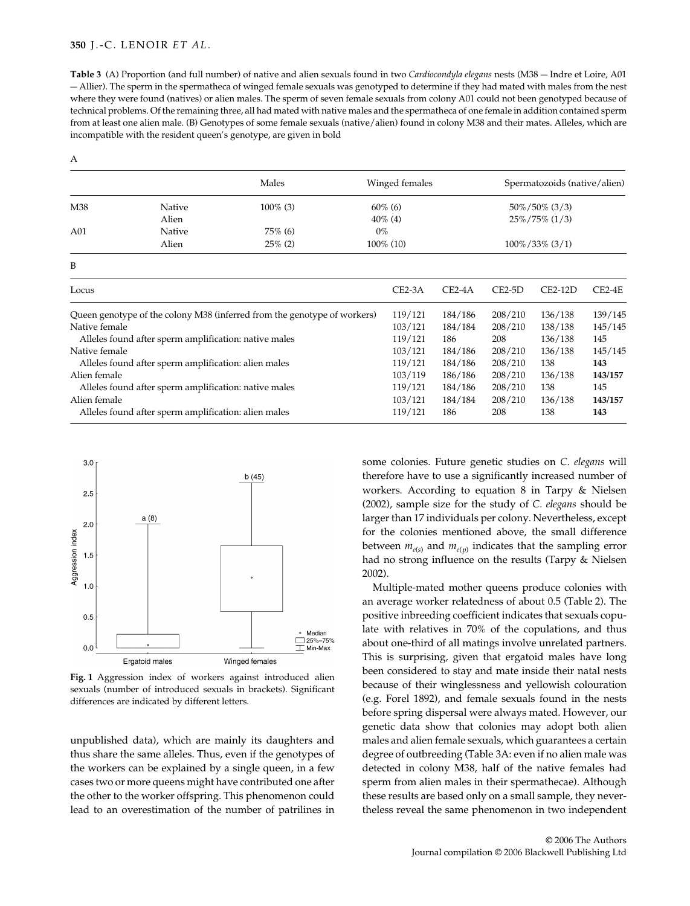## **350** J.-C. LENOIR *ET AL.*

A

**Table 3** (A) Proportion (and full number) of native and alien sexuals found in two *Cardiocondyla elegans* nests (M38 — Indre et Loire, A01 — Allier). The sperm in the spermatheca of winged female sexuals was genotyped to determine if they had mated with males from the nest where they were found (natives) or alien males. The sperm of seven female sexuals from colony A01 could not been genotyped because of technical problems. Of the remaining three, all had mated with native males and the spermatheca of one female in addition contained sperm from at least one alien male. (B) Genotypes of some female sexuals (native/alien) found in colony M38 and their mates. Alleles, which are incompatible with the resident queen's genotype, are given in bold

|                                                                          | Winged females<br>Males                               |             |            | Spermatozoids (native/alien) |                    |           |          |  |  |
|--------------------------------------------------------------------------|-------------------------------------------------------|-------------|------------|------------------------------|--------------------|-----------|----------|--|--|
| M38<br>Native                                                            |                                                       | $100\%$ (3) | $60\%$ (6) |                              | $50\%/50\%$ (3/3)  |           |          |  |  |
|                                                                          | Alien                                                 | $40\%$ (4)  |            |                              | $25\%/75\%$ (1/3)  |           |          |  |  |
| A01                                                                      | Native                                                | $75\%$ (6)  | $0\%$      |                              |                    |           |          |  |  |
|                                                                          | Alien<br>$25\%$ (2)<br>$100\%$ (10)                   |             |            |                              | $100\%/33\%$ (3/1) |           |          |  |  |
| B                                                                        |                                                       |             |            |                              |                    |           |          |  |  |
| Locus                                                                    |                                                       |             | $CE2-3A$   | $CE2-4A$                     | $CE2-5D$           | $CE2-12D$ | $CE2-4E$ |  |  |
| Queen genotype of the colony M38 (inferred from the genotype of workers) |                                                       |             | 119/121    | 184/186                      | 208/210            | 136/138   | 139/145  |  |  |
| Native female                                                            |                                                       |             |            | 184/184                      | 208/210            | 138/138   | 145/145  |  |  |
| Alleles found after sperm amplification: native males                    |                                                       |             |            | 186                          | 208                | 136/138   | 145      |  |  |
| Native female                                                            |                                                       |             |            | 184/186                      | 208/210            | 136/138   | 145/145  |  |  |
| Alleles found after sperm amplification: alien males                     |                                                       |             |            | 184/186                      | 208/210            | 138       | 143      |  |  |
| Alien female                                                             |                                                       |             |            | 186/186                      | 208/210            | 136/138   | 143/157  |  |  |
|                                                                          | Alleles found after sperm amplification: native males |             | 119/121    | 184/186                      | 208/210            | 138       | 145      |  |  |
| Alien female                                                             |                                                       |             |            | 184/184                      | 208/210            | 136/138   | 143/157  |  |  |
| Alleles found after sperm amplification: alien males                     |                                                       |             |            | 186                          | 208                | 138       | 143      |  |  |



**Fig. 1** Aggression index of workers against introduced alien sexuals (number of introduced sexuals in brackets). Significant differences are indicated by different letters.

unpublished data), which are mainly its daughters and thus share the same alleles. Thus, even if the genotypes of the workers can be explained by a single queen, in a few cases two or more queens might have contributed one after the other to the worker offspring. This phenomenon could lead to an overestimation of the number of patrilines in some colonies. Future genetic studies on *C. elegans* will therefore have to use a significantly increased number of workers. According to equation 8 in Tarpy & Nielsen (2002), sample size for the study of *C. elegans* should be larger than 17 individuals per colony. Nevertheless, except for the colonies mentioned above, the small difference between  $m_{e(s)}$  and  $m_{e(p)}$  indicates that the sampling error had no strong influence on the results (Tarpy & Nielsen 2002).

Multiple-mated mother queens produce colonies with an average worker relatedness of about 0.5 (Table 2). The positive inbreeding coefficient indicates that sexuals copulate with relatives in 70% of the copulations, and thus about one-third of all matings involve unrelated partners. This is surprising, given that ergatoid males have long been considered to stay and mate inside their natal nests because of their winglessness and yellowish colouration (e.g. Forel 1892), and female sexuals found in the nests before spring dispersal were always mated. However, our genetic data show that colonies may adopt both alien males and alien female sexuals, which guarantees a certain degree of outbreeding (Table 3A: even if no alien male was detected in colony M38, half of the native females had sperm from alien males in their spermathecae). Although these results are based only on a small sample, they nevertheless reveal the same phenomenon in two independent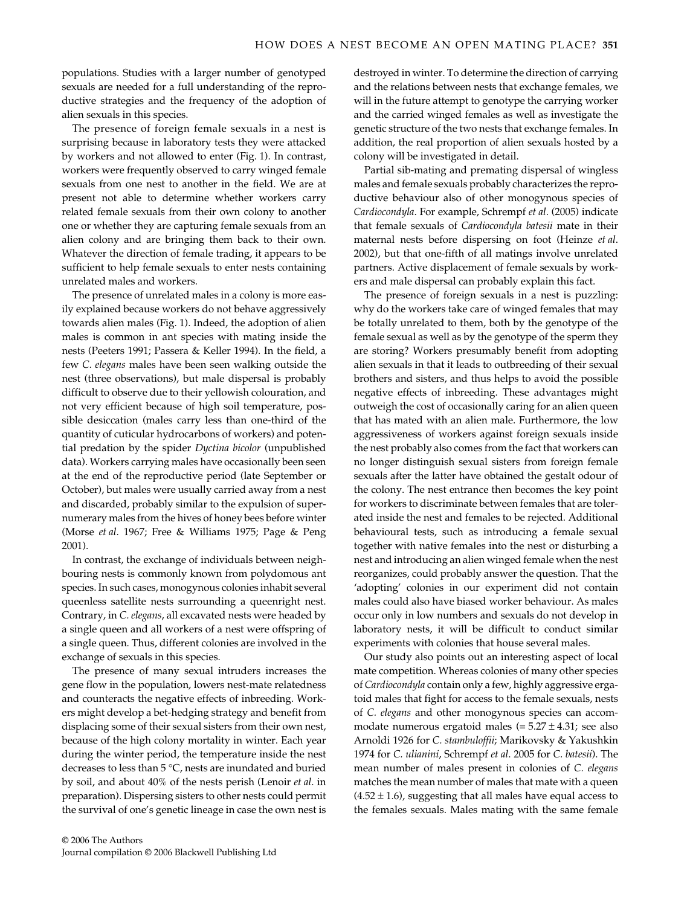populations. Studies with a larger number of genotyped sexuals are needed for a full understanding of the reproductive strategies and the frequency of the adoption of alien sexuals in this species.

The presence of foreign female sexuals in a nest is surprising because in laboratory tests they were attacked by workers and not allowed to enter (Fig. 1). In contrast, workers were frequently observed to carry winged female sexuals from one nest to another in the field. We are at present not able to determine whether workers carry related female sexuals from their own colony to another one or whether they are capturing female sexuals from an alien colony and are bringing them back to their own. Whatever the direction of female trading, it appears to be sufficient to help female sexuals to enter nests containing unrelated males and workers.

The presence of unrelated males in a colony is more easily explained because workers do not behave aggressively towards alien males (Fig. 1). Indeed, the adoption of alien males is common in ant species with mating inside the nests (Peeters 1991; Passera & Keller 1994). In the field, a few *C. elegans* males have been seen walking outside the nest (three observations), but male dispersal is probably difficult to observe due to their yellowish colouration, and not very efficient because of high soil temperature, possible desiccation (males carry less than one-third of the quantity of cuticular hydrocarbons of workers) and potential predation by the spider *Dyctina bicolor* (unpublished data). Workers carrying males have occasionally been seen at the end of the reproductive period (late September or October), but males were usually carried away from a nest and discarded, probably similar to the expulsion of supernumerary males from the hives of honey bees before winter (Morse *et al*. 1967; Free & Williams 1975; Page & Peng 2001).

In contrast, the exchange of individuals between neighbouring nests is commonly known from polydomous ant species. In such cases, monogynous colonies inhabit several queenless satellite nests surrounding a queenright nest. Contrary, in *C. elegans*, all excavated nests were headed by a single queen and all workers of a nest were offspring of a single queen. Thus, different colonies are involved in the exchange of sexuals in this species.

The presence of many sexual intruders increases the gene flow in the population, lowers nest-mate relatedness and counteracts the negative effects of inbreeding. Workers might develop a bet-hedging strategy and benefit from displacing some of their sexual sisters from their own nest, because of the high colony mortality in winter. Each year during the winter period, the temperature inside the nest decreases to less than 5 °C, nests are inundated and buried by soil, and about 40% of the nests perish (Lenoir *et al*. in preparation). Dispersing sisters to other nests could permit the survival of one's genetic lineage in case the own nest is

destroyed in winter. To determine the direction of carrying and the relations between nests that exchange females, we will in the future attempt to genotype the carrying worker and the carried winged females as well as investigate the genetic structure of the two nests that exchange females. In addition, the real proportion of alien sexuals hosted by a colony will be investigated in detail.

Partial sib-mating and premating dispersal of wingless males and female sexuals probably characterizes the reproductive behaviour also of other monogynous species of *Cardiocondyla*. For example, Schrempf *et al*. (2005) indicate that female sexuals of *Cardiocondyla batesii* mate in their maternal nests before dispersing on foot (Heinze *et al*. 2002), but that one-fifth of all matings involve unrelated partners. Active displacement of female sexuals by workers and male dispersal can probably explain this fact.

The presence of foreign sexuals in a nest is puzzling: why do the workers take care of winged females that may be totally unrelated to them, both by the genotype of the female sexual as well as by the genotype of the sperm they are storing? Workers presumably benefit from adopting alien sexuals in that it leads to outbreeding of their sexual brothers and sisters, and thus helps to avoid the possible negative effects of inbreeding. These advantages might outweigh the cost of occasionally caring for an alien queen that has mated with an alien male. Furthermore, the low aggressiveness of workers against foreign sexuals inside the nest probably also comes from the fact that workers can no longer distinguish sexual sisters from foreign female sexuals after the latter have obtained the gestalt odour of the colony. The nest entrance then becomes the key point for workers to discriminate between females that are tolerated inside the nest and females to be rejected. Additional behavioural tests, such as introducing a female sexual together with native females into the nest or disturbing a nest and introducing an alien winged female when the nest reorganizes, could probably answer the question. That the 'adopting' colonies in our experiment did not contain males could also have biased worker behaviour. As males occur only in low numbers and sexuals do not develop in laboratory nests, it will be difficult to conduct similar experiments with colonies that house several males.

Our study also points out an interesting aspect of local mate competition. Whereas colonies of many other species of *Cardiocondyla* contain only a few, highly aggressive ergatoid males that fight for access to the female sexuals, nests of *C. elegans* and other monogynous species can accommodate numerous ergatoid males  $(= 5.27 \pm 4.31)$ ; see also Arnoldi 1926 for *C. stambuloffii*; Marikovsky & Yakushkin 1974 for *C. ulianini*, Schrempf *et al*. 2005 for *C. batesii*). The mean number of males present in colonies of *C. elegans* matches the mean number of males that mate with a queen  $(4.52 \pm 1.6)$ , suggesting that all males have equal access to the females sexuals. Males mating with the same female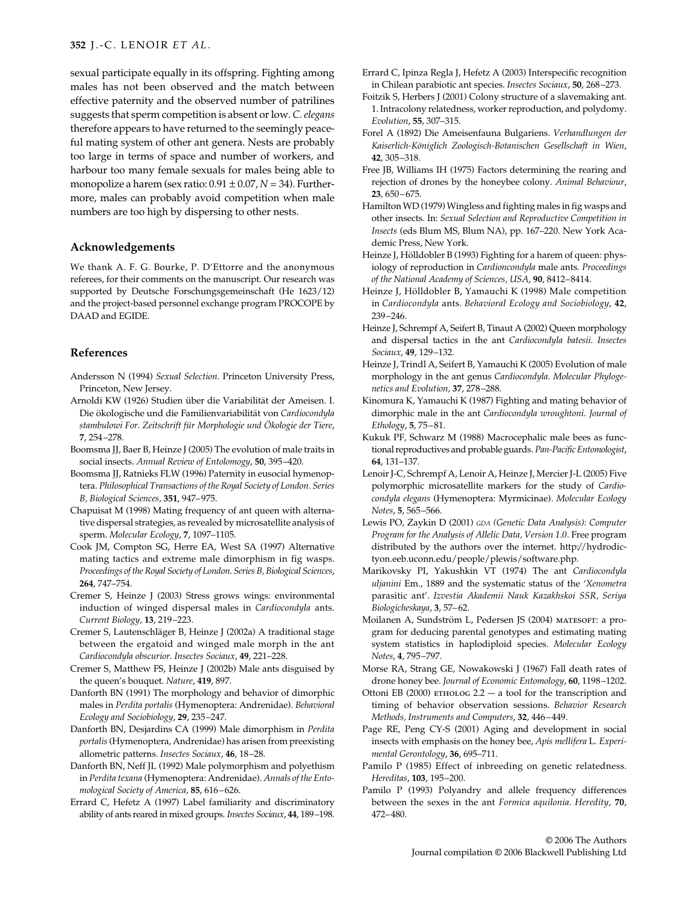sexual participate equally in its offspring. Fighting among males has not been observed and the match between effective paternity and the observed number of patrilines suggests that sperm competition is absent or low. *C. elegans* therefore appears to have returned to the seemingly peaceful mating system of other ant genera. Nests are probably too large in terms of space and number of workers, and harbour too many female sexuals for males being able to monopolize a harem (sex ratio:  $0.91 \pm 0.07$ ,  $N = 34$ ). Furthermore, males can probably avoid competition when male numbers are too high by dispersing to other nests.

## **Acknowledgements**

We thank A. F. G. Bourke, P. D'Ettorre and the anonymous referees, for their comments on the manuscript. Our research was supported by Deutsche Forschungsgemeinschaft (He 1623/12) and the project-based personnel exchange program PROCOPE by DAAD and EGIDE.

## **References**

- Andersson N (1994) *Sexual Selection*. Princeton University Press, Princeton, New Jersey.
- Arnoldi KW (1926) Studien über die Variabilität der Ameisen. I. Die ökologische und die Familienvariabilität von *Cardiocondyla stambulowi For*. *Zeitschrift für Morphologie und Ökologie der Tiere*, **7**, 254–278.
- Boomsma JJ, Baer B, Heinze J (2005) The evolution of male traits in social insects. *Annual Review of Entolomogy*, **50**, 395–420.
- Boomsma JJ, Ratnieks FLW (1996) Paternity in eusocial hymenoptera. *Philosophical Transactions of the Royal Society of London*. *Series B, Biological Sciences*, **351**, 947–975.
- Chapuisat M (1998) Mating frequency of ant queen with alternative dispersal strategies, as revealed by microsatellite analysis of sperm. *Molecular Ecology*, **7**, 1097–1105.
- Cook JM, Compton SG, Herre EA, West SA (1997) Alternative mating tactics and extreme male dimorphism in fig wasps. *Proceedings of the Royal Society of London*. *Series B, Biological Sciences*, **264**, 747–754.
- Cremer S, Heinze J (2003) Stress grows wings: environmental induction of winged dispersal males in *Cardiocondyla* ants. *Current Biology*, **13**, 219–223.
- Cremer S, Lautenschläger B, Heinze J (2002a) A traditional stage between the ergatoid and winged male morph in the ant *Cardiocondyla obscurior*. *Insectes Sociaux*, **49**, 221–228.
- Cremer S, Matthew FS, Heinze J (2002b) Male ants disguised by the queen's bouquet. *Nature*, **419**, 897.
- Danforth BN (1991) The morphology and behavior of dimorphic males in *Perdita portalis* (Hymenoptera: Andrenidae). *Behavioral Ecology and Sociobiology*, **29**, 235–247.
- Danforth BN, Desjardins CA (1999) Male dimorphism in *Perdita portalis*(Hymenoptera, Andrenidae) has arisen from preexisting allometric patterns. *Insectes Sociaux*, **46**, 18–28.
- Danforth BN, Neff JL (1992) Male polymorphism and polyethism in *Perdita texana* (Hymenoptera: Andrenidae). *Annals of the Entomological Society of America*, **85**, 616–626.
- Errard C, Hefetz A (1997) Label familiarity and discriminatory ability of ants reared in mixed groups. *Insectes Sociaux*, **44**, 189–198.
- Errard C, Ipinza Regla J, Hefetz A (2003) Interspecific recognition in Chilean parabiotic ant species. *Insectes Sociaux*, **50**, 268–273.
- Foitzik S, Herbers J (2001) Colony structure of a slavemaking ant. 1. Intracolony relatedness, worker reproduction, and polydomy. *Evolution*, **55**, 307–315.
- Forel A (1892) Die Ameisenfauna Bulgariens. *Verhandlungen der Kaiserlich-Königlich Zoologisch-Botanischen Gesellschaft in Wien*, **42**, 305–318.
- Free JB, Williams IH (1975) Factors determining the rearing and rejection of drones by the honeybee colony. *Animal Behaviour*, **23**, 650–675.
- Hamilton WD (1979) Wingless and fighting males in fig wasps and other insects. In: *Sexual Selection and Reproductive Competition in Insects* (eds Blum MS, Blum NA), pp. 167–220. New York Academic Press, New York.
- Heinze J, Hölldobler B (1993) Fighting for a harem of queen: physiology of reproduction in *Cardioncondyla* male ants. *Proceedings of the National Academy of Sciences, USA*, **90**, 8412–8414.
- Heinze J, Hölldobler B, Yamauchi K (1998) Male competition in *Cardiocondyla* ants. *Behavioral Ecology and Sociobiology*, **42**, 239–246.
- Heinze J, Schrempf A, Seifert B, Tinaut A (2002) Queen morphology and dispersal tactics in the ant *Cardiocondyla batesii*. *Insectes Sociaux*, **49**, 129–132.
- Heinze J, Trindl A, Seifert B, Yamauchi K (2005) Evolution of male morphology in the ant genus *Cardiocondyla*. *Molecular Phylogenetics and Evolution*, **37**, 278–288.
- Kinomura K, Yamauchi K (1987) Fighting and mating behavior of dimorphic male in the ant *Cardiocondyla wroughtoni*. *Journal of Ethology*, **5**, 75–81.
- Kukuk PF, Schwarz M (1988) Macrocephalic male bees as functional reproductives and probable guards. *Pan-Pacific Entomologist*, **64**, 131–137.
- Lenoir J-C, Schrempf A, Lenoir A, Heinze J, Mercier J-L (2005) Five polymorphic microsatellite markers for the study of *Cardiocondyla elegans* (Hymenoptera: Myrmicinae). *Molecular Ecology Notes*, **5**, 565–566.
- Lewis PO, Zaykin D (2001) *GDA (Genetic Data Analysis): Computer Program for the Analysis of Allelic Data, Version 1*.*0*. Free program distributed by the authors over the internet. http://hydrodictyon.eeb.uconn.edu/people/plewis/software.php.
- Marikovsky PI, Yakushkin VT (1974) The ant *Cardiocondyla uljanini* Em., 1889 and the systematic status of the '*Xenometra* parasitic ant'. *Izvestia Akademii Nauk Kazakhskoi SSR, Seriya Biologicheskaya*, **3**, 57–62.
- Moilanen A, Sundström L, Pedersen JS (2004) matesoft: a program for deducing parental genotypes and estimating mating system statistics in haplodiploid species. *Molecular Ecology Notes*, **4**, 795–797.
- Morse RA, Strang GE, Nowakowski J (1967) Fall death rates of drone honey bee. *Journal of Economic Entomology*, **60**, 1198–1202.
- Ottoni EB (2000) ETHOLOG  $2.2 a$  tool for the transcription and timing of behavior observation sessions. *Behavior Research Methods, Instruments and Computers*, **32**, 446–449.
- Page RE, Peng CY-S (2001) Aging and development in social insects with emphasis on the honey bee, *Apis mellifera* L. *Experimental Gerontology*, **36**, 695–711.
- Pamilo P (1985) Effect of inbreeding on genetic relatedness. *Hereditas*, **103**, 195–200.
- Pamilo P (1993) Polyandry and allele frequency differences between the sexes in the ant *Formica aquilonia*. *Heredity*, **70**, 472–480.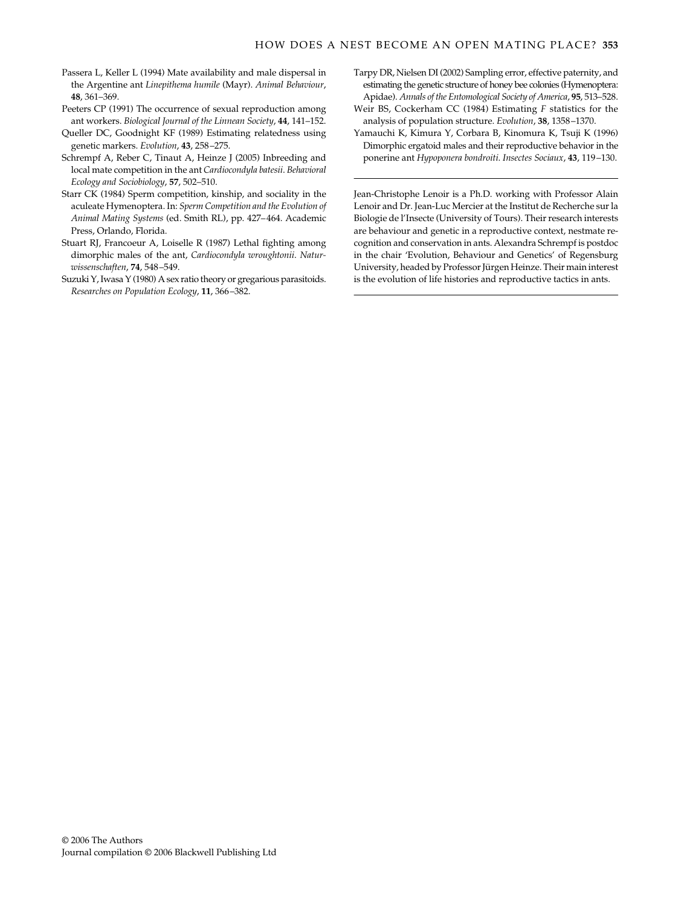- Passera L, Keller L (1994) Mate availability and male dispersal in the Argentine ant *Linepithema humile* (Mayr). *Animal Behaviour*, **48**, 361–369.
- Peeters CP (1991) The occurrence of sexual reproduction among ant workers. *Biological Journal of the Linnean Society*, **44**, 141–152.
- Queller DC, Goodnight KF (1989) Estimating relatedness using genetic markers. *Evolution*, **43**, 258–275.
- Schrempf A, Reber C, Tinaut A, Heinze J (2005) Inbreeding and local mate competition in the ant *Cardiocondyla batesii*. *Behavioral Ecology and Sociobiology*, **57**, 502–510.
- Starr CK (1984) Sperm competition, kinship, and sociality in the aculeate Hymenoptera. In: *Sperm Competition and the Evolution of Animal Mating Systems* (ed. Smith RL), pp. 427–464. Academic Press, Orlando, Florida.
- Stuart RJ, Francoeur A, Loiselle R (1987) Lethal fighting among dimorphic males of the ant, *Cardiocondyla wroughtonii*. *Naturwissenschaften*, **74**, 548–549.
- Suzuki Y, Iwasa Y (1980) A sex ratio theory or gregarious parasitoids. *Researches on Population Ecology*, **11**, 366–382.
- Tarpy DR, Nielsen DI (2002) Sampling error, effective paternity, and estimating the genetic structure of honey bee colonies (Hymenoptera: Apidae). *Annals of the Entomological Society of America*, **95**, 513–528.
- Weir BS, Cockerham CC (1984) Estimating *F* statistics for the analysis of population structure. *Evolution*, **38**, 1358–1370.
- Yamauchi K, Kimura Y, Corbara B, Kinomura K, Tsuji K (1996) Dimorphic ergatoid males and their reproductive behavior in the ponerine ant *Hypoponera bondroiti*. *Insectes Sociaux*, **43**, 119–130.

Jean-Christophe Lenoir is a Ph.D. working with Professor Alain Lenoir and Dr. Jean-Luc Mercier at the Institut de Recherche sur la Biologie de l'Insecte (University of Tours). Their research interests are behaviour and genetic in a reproductive context, nestmate recognition and conservation in ants. Alexandra Schrempf is postdoc in the chair 'Evolution, Behaviour and Genetics' of Regensburg University, headed by Professor Jürgen Heinze. Their main interest is the evolution of life histories and reproductive tactics in ants.